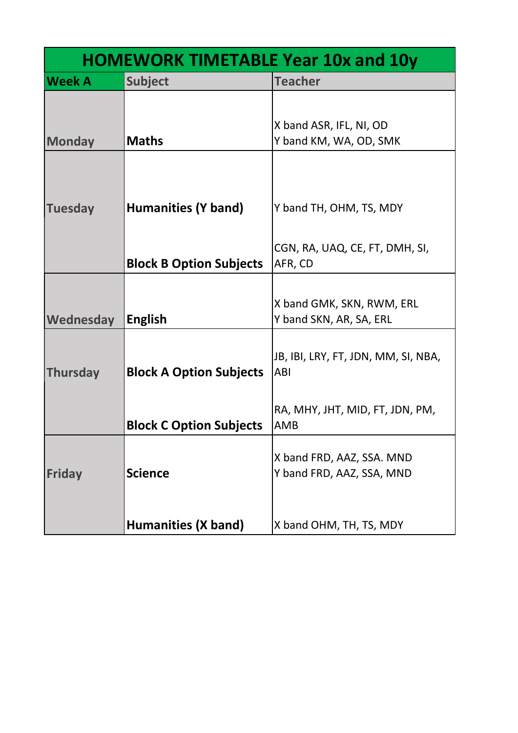| <b>HOMEWORK TIMETABLE Year 10x and 10y</b> |                                |                                                        |  |
|--------------------------------------------|--------------------------------|--------------------------------------------------------|--|
| <b>Week A</b>                              | <b>Subject</b>                 | <b>Teacher</b>                                         |  |
|                                            |                                | X band ASR, IFL, NI, OD                                |  |
| <b>Monday</b>                              | <b>Maths</b>                   | Y band KM, WA, OD, SMK                                 |  |
|                                            |                                |                                                        |  |
| <b>Tuesday</b>                             | Humanities (Y band)            | Y band TH, OHM, TS, MDY                                |  |
|                                            |                                | CGN, RA, UAQ, CE, FT, DMH, SI,                         |  |
|                                            | <b>Block B Option Subjects</b> | AFR, CD                                                |  |
| Wednesday                                  | <b>English</b>                 | X band GMK, SKN, RWM, ERL<br>Y band SKN, AR, SA, ERL   |  |
| Thursday                                   | <b>Block A Option Subjects</b> | JB, IBI, LRY, FT, JDN, MM, SI, NBA,<br>ABI             |  |
|                                            | <b>Block C Option Subjects</b> | RA, MHY, JHT, MID, FT, JDN, PM,<br>AMB                 |  |
| <b>Friday</b>                              | <b>Science</b>                 | X band FRD, AAZ, SSA. MND<br>Y band FRD, AAZ, SSA, MND |  |
|                                            | <b>Humanities (X band)</b>     | X band OHM, TH, TS, MDY                                |  |